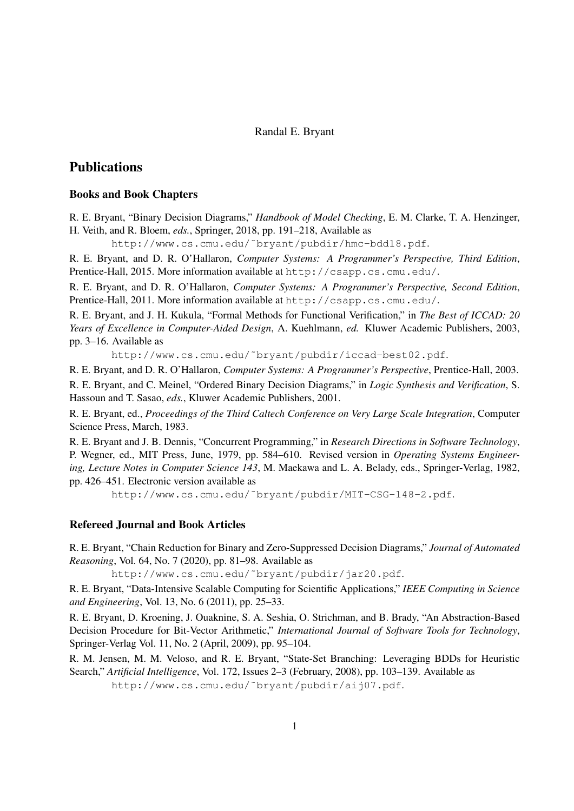## Randal E. Bryant

# **Publications**

## Books and Book Chapters

R. E. Bryant, "Binary Decision Diagrams," *Handbook of Model Checking*, E. M. Clarke, T. A. Henzinger, H. Veith, and R. Bloem, *eds.*, Springer, 2018, pp. 191–218, Available as

http://www.cs.cmu.edu/˜bryant/pubdir/hmc-bdd18.pdf.

R. E. Bryant, and D. R. O'Hallaron, *Computer Systems: A Programmer's Perspective, Third Edition*, Prentice-Hall, 2015. More information available at http://csapp.cs.cmu.edu/.

R. E. Bryant, and D. R. O'Hallaron, *Computer Systems: A Programmer's Perspective, Second Edition*, Prentice-Hall, 2011. More information available at http://csapp.cs.cmu.edu/.

R. E. Bryant, and J. H. Kukula, "Formal Methods for Functional Verification," in *The Best of ICCAD: 20 Years of Excellence in Computer-Aided Design*, A. Kuehlmann, *ed.* Kluwer Academic Publishers, 2003, pp. 3–16. Available as

http://www.cs.cmu.edu/˜bryant/pubdir/iccad-best02.pdf.

R. E. Bryant, and D. R. O'Hallaron, *Computer Systems: A Programmer's Perspective*, Prentice-Hall, 2003.

R. E. Bryant, and C. Meinel, "Ordered Binary Decision Diagrams," in *Logic Synthesis and Verification*, S. Hassoun and T. Sasao, *eds.*, Kluwer Academic Publishers, 2001.

R. E. Bryant, ed., *Proceedings of the Third Caltech Conference on Very Large Scale Integration*, Computer Science Press, March, 1983.

R. E. Bryant and J. B. Dennis, "Concurrent Programming," in *Research Directions in Software Technology*, P. Wegner, ed., MIT Press, June, 1979, pp. 584–610. Revised version in *Operating Systems Engineering, Lecture Notes in Computer Science 143*, M. Maekawa and L. A. Belady, eds., Springer-Verlag, 1982, pp. 426–451. Electronic version available as

http://www.cs.cmu.edu/˜bryant/pubdir/MIT-CSG-148-2.pdf.

## Refereed Journal and Book Articles

R. E. Bryant, "Chain Reduction for Binary and Zero-Suppressed Decision Diagrams," *Journal of Automated Reasoning*, Vol. 64, No. 7 (2020), pp. 81–98. Available as

http://www.cs.cmu.edu/˜bryant/pubdir/jar20.pdf.

R. E. Bryant, "Data-Intensive Scalable Computing for Scientific Applications," *IEEE Computing in Science and Engineering*, Vol. 13, No. 6 (2011), pp. 25–33.

R. E. Bryant, D. Kroening, J. Ouaknine, S. A. Seshia, O. Strichman, and B. Brady, "An Abstraction-Based Decision Procedure for Bit-Vector Arithmetic," *International Journal of Software Tools for Technology*, Springer-Verlag Vol. 11, No. 2 (April, 2009), pp. 95–104.

R. M. Jensen, M. M. Veloso, and R. E. Bryant, "State-Set Branching: Leveraging BDDs for Heuristic Search," *Artificial Intelligence*, Vol. 172, Issues 2–3 (February, 2008), pp. 103–139. Available as http://www.cs.cmu.edu/˜bryant/pubdir/aij07.pdf.

1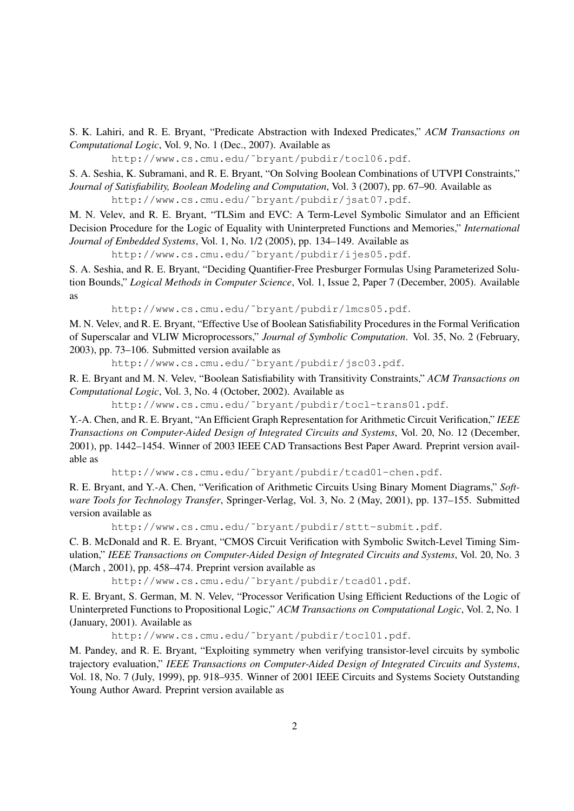S. K. Lahiri, and R. E. Bryant, "Predicate Abstraction with Indexed Predicates," *ACM Transactions on Computational Logic*, Vol. 9, No. 1 (Dec., 2007). Available as

http://www.cs.cmu.edu/˜bryant/pubdir/tocl06.pdf.

S. A. Seshia, K. Subramani, and R. E. Bryant, "On Solving Boolean Combinations of UTVPI Constraints," *Journal of Satisfiability, Boolean Modeling and Computation*, Vol. 3 (2007), pp. 67–90. Available as http://www.cs.cmu.edu/˜bryant/pubdir/jsat07.pdf.

M. N. Velev, and R. E. Bryant, "TLSim and EVC: A Term-Level Symbolic Simulator and an Efficient Decision Procedure for the Logic of Equality with Uninterpreted Functions and Memories," *International Journal of Embedded Systems*, Vol. 1, No. 1/2 (2005), pp. 134–149. Available as

http://www.cs.cmu.edu/˜bryant/pubdir/ijes05.pdf.

S. A. Seshia, and R. E. Bryant, "Deciding Quantifier-Free Presburger Formulas Using Parameterized Solution Bounds," *Logical Methods in Computer Science*, Vol. 1, Issue 2, Paper 7 (December, 2005). Available as

http://www.cs.cmu.edu/˜bryant/pubdir/lmcs05.pdf.

M. N. Velev, and R. E. Bryant, "Effective Use of Boolean Satisfiability Procedures in the Formal Verification of Superscalar and VLIW Microprocessors," *Journal of Symbolic Computation*. Vol. 35, No. 2 (February, 2003), pp. 73–106. Submitted version available as

http://www.cs.cmu.edu/˜bryant/pubdir/jsc03.pdf.

R. E. Bryant and M. N. Velev, "Boolean Satisfiability with Transitivity Constraints," *ACM Transactions on Computational Logic*, Vol. 3, No. 4 (October, 2002). Available as

http://www.cs.cmu.edu/˜bryant/pubdir/tocl-trans01.pdf.

Y.-A. Chen, and R. E. Bryant, "An Efficient Graph Representation for Arithmetic Circuit Verification," *IEEE Transactions on Computer-Aided Design of Integrated Circuits and Systems*, Vol. 20, No. 12 (December, 2001), pp. 1442–1454. Winner of 2003 IEEE CAD Transactions Best Paper Award. Preprint version available as

http://www.cs.cmu.edu/˜bryant/pubdir/tcad01-chen.pdf.

R. E. Bryant, and Y.-A. Chen, "Verification of Arithmetic Circuits Using Binary Moment Diagrams," *Software Tools for Technology Transfer*, Springer-Verlag, Vol. 3, No. 2 (May, 2001), pp. 137–155. Submitted version available as

http://www.cs.cmu.edu/˜bryant/pubdir/sttt-submit.pdf.

C. B. McDonald and R. E. Bryant, "CMOS Circuit Verification with Symbolic Switch-Level Timing Simulation," *IEEE Transactions on Computer-Aided Design of Integrated Circuits and Systems*, Vol. 20, No. 3 (March , 2001), pp. 458–474. Preprint version available as

http://www.cs.cmu.edu/˜bryant/pubdir/tcad01.pdf.

R. E. Bryant, S. German, M. N. Velev, "Processor Verification Using Efficient Reductions of the Logic of Uninterpreted Functions to Propositional Logic," *ACM Transactions on Computational Logic*, Vol. 2, No. 1 (January, 2001). Available as

http://www.cs.cmu.edu/˜bryant/pubdir/tocl01.pdf.

M. Pandey, and R. E. Bryant, "Exploiting symmetry when verifying transistor-level circuits by symbolic trajectory evaluation," *IEEE Transactions on Computer-Aided Design of Integrated Circuits and Systems*, Vol. 18, No. 7 (July, 1999), pp. 918–935. Winner of 2001 IEEE Circuits and Systems Society Outstanding Young Author Award. Preprint version available as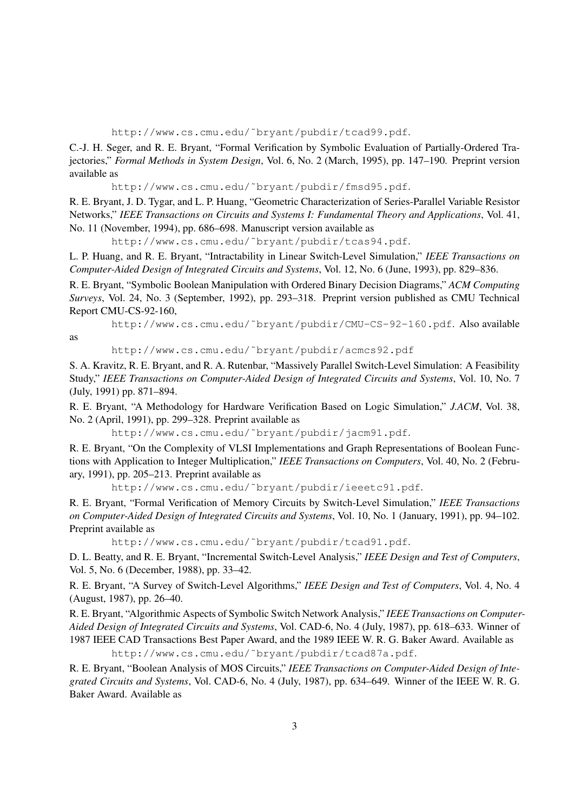http://www.cs.cmu.edu/˜bryant/pubdir/tcad99.pdf.

C.-J. H. Seger, and R. E. Bryant, "Formal Verification by Symbolic Evaluation of Partially-Ordered Trajectories," *Formal Methods in System Design*, Vol. 6, No. 2 (March, 1995), pp. 147–190. Preprint version available as

http://www.cs.cmu.edu/˜bryant/pubdir/fmsd95.pdf.

R. E. Bryant, J. D. Tygar, and L. P. Huang, "Geometric Characterization of Series-Parallel Variable Resistor Networks," *IEEE Transactions on Circuits and Systems I: Fundamental Theory and Applications*, Vol. 41, No. 11 (November, 1994), pp. 686–698. Manuscript version available as

http://www.cs.cmu.edu/˜bryant/pubdir/tcas94.pdf.

L. P. Huang, and R. E. Bryant, "Intractability in Linear Switch-Level Simulation," *IEEE Transactions on Computer-Aided Design of Integrated Circuits and Systems*, Vol. 12, No. 6 (June, 1993), pp. 829–836.

R. E. Bryant, "Symbolic Boolean Manipulation with Ordered Binary Decision Diagrams," *ACM Computing Surveys*, Vol. 24, No. 3 (September, 1992), pp. 293–318. Preprint version published as CMU Technical Report CMU-CS-92-160,

http://www.cs.cmu.edu/˜bryant/pubdir/CMU-CS-92-160.pdf. Also available

as

http://www.cs.cmu.edu/˜bryant/pubdir/acmcs92.pdf

S. A. Kravitz, R. E. Bryant, and R. A. Rutenbar, "Massively Parallel Switch-Level Simulation: A Feasibility Study," *IEEE Transactions on Computer-Aided Design of Integrated Circuits and Systems*, Vol. 10, No. 7 (July, 1991) pp. 871–894.

R. E. Bryant, "A Methodology for Hardware Verification Based on Logic Simulation," *J.ACM*, Vol. 38, No. 2 (April, 1991), pp. 299–328. Preprint available as

http://www.cs.cmu.edu/˜bryant/pubdir/jacm91.pdf.

R. E. Bryant, "On the Complexity of VLSI Implementations and Graph Representations of Boolean Functions with Application to Integer Multiplication," *IEEE Transactions on Computers*, Vol. 40, No. 2 (February, 1991), pp. 205–213. Preprint available as

http://www.cs.cmu.edu/˜bryant/pubdir/ieeetc91.pdf.

R. E. Bryant, "Formal Verification of Memory Circuits by Switch-Level Simulation," *IEEE Transactions on Computer-Aided Design of Integrated Circuits and Systems*, Vol. 10, No. 1 (January, 1991), pp. 94–102. Preprint available as

http://www.cs.cmu.edu/˜bryant/pubdir/tcad91.pdf.

D. L. Beatty, and R. E. Bryant, "Incremental Switch-Level Analysis," *IEEE Design and Test of Computers*, Vol. 5, No. 6 (December, 1988), pp. 33–42.

R. E. Bryant, "A Survey of Switch-Level Algorithms," *IEEE Design and Test of Computers*, Vol. 4, No. 4 (August, 1987), pp. 26–40.

R. E. Bryant, "Algorithmic Aspects of Symbolic Switch Network Analysis," *IEEE Transactions on Computer-Aided Design of Integrated Circuits and Systems*, Vol. CAD-6, No. 4 (July, 1987), pp. 618–633. Winner of 1987 IEEE CAD Transactions Best Paper Award, and the 1989 IEEE W. R. G. Baker Award. Available as http://www.cs.cmu.edu/˜bryant/pubdir/tcad87a.pdf.

R. E. Bryant, "Boolean Analysis of MOS Circuits," *IEEE Transactions on Computer-Aided Design of Integrated Circuits and Systems*, Vol. CAD-6, No. 4 (July, 1987), pp. 634–649. Winner of the IEEE W. R. G. Baker Award. Available as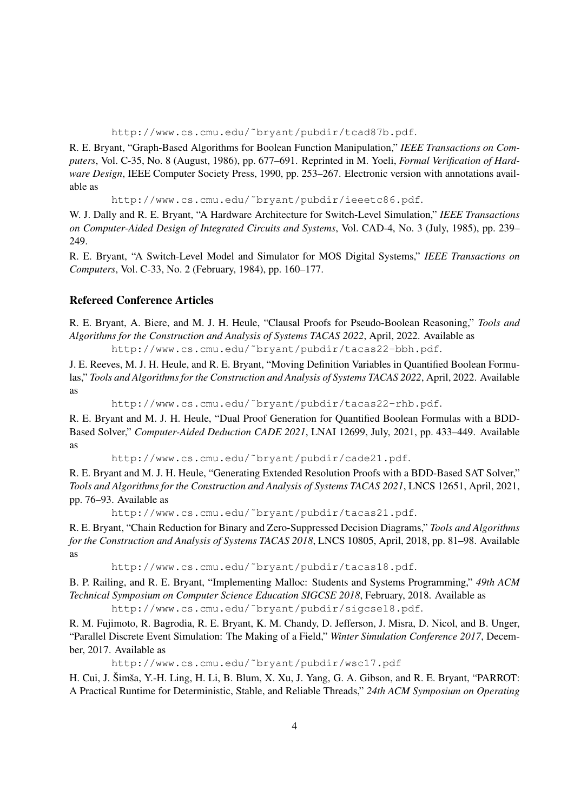http://www.cs.cmu.edu/˜bryant/pubdir/tcad87b.pdf.

R. E. Bryant, "Graph-Based Algorithms for Boolean Function Manipulation," *IEEE Transactions on Computers*, Vol. C-35, No. 8 (August, 1986), pp. 677–691. Reprinted in M. Yoeli, *Formal Verification of Hardware Design*, IEEE Computer Society Press, 1990, pp. 253–267. Electronic version with annotations available as

http://www.cs.cmu.edu/˜bryant/pubdir/ieeetc86.pdf.

W. J. Dally and R. E. Bryant, "A Hardware Architecture for Switch-Level Simulation," *IEEE Transactions on Computer-Aided Design of Integrated Circuits and Systems*, Vol. CAD-4, No. 3 (July, 1985), pp. 239– 249.

R. E. Bryant, "A Switch-Level Model and Simulator for MOS Digital Systems," *IEEE Transactions on Computers*, Vol. C-33, No. 2 (February, 1984), pp. 160–177.

### Refereed Conference Articles

R. E. Bryant, A. Biere, and M. J. H. Heule, "Clausal Proofs for Pseudo-Boolean Reasoning," *Tools and Algorithms for the Construction and Analysis of Systems TACAS 2022*, April, 2022. Available as

http://www.cs.cmu.edu/˜bryant/pubdir/tacas22-bbh.pdf.

J. E. Reeves, M. J. H. Heule, and R. E. Bryant, "Moving Definition Variables in Quantified Boolean Formulas," *Tools and Algorithms for the Construction and Analysis of Systems TACAS 2022*, April, 2022. Available as

http://www.cs.cmu.edu/˜bryant/pubdir/tacas22-rhb.pdf.

R. E. Bryant and M. J. H. Heule, "Dual Proof Generation for Quantified Boolean Formulas with a BDD-Based Solver," *Computer-Aided Deduction CADE 2021*, LNAI 12699, July, 2021, pp. 433–449. Available as

http://www.cs.cmu.edu/˜bryant/pubdir/cade21.pdf.

R. E. Bryant and M. J. H. Heule, "Generating Extended Resolution Proofs with a BDD-Based SAT Solver," *Tools and Algorithms for the Construction and Analysis of Systems TACAS 2021*, LNCS 12651, April, 2021, pp. 76–93. Available as

http://www.cs.cmu.edu/˜bryant/pubdir/tacas21.pdf.

R. E. Bryant, "Chain Reduction for Binary and Zero-Suppressed Decision Diagrams," *Tools and Algorithms for the Construction and Analysis of Systems TACAS 2018*, LNCS 10805, April, 2018, pp. 81–98. Available as

http://www.cs.cmu.edu/˜bryant/pubdir/tacas18.pdf.

B. P. Railing, and R. E. Bryant, "Implementing Malloc: Students and Systems Programming," *49th ACM Technical Symposium on Computer Science Education SIGCSE 2018*, February, 2018. Available as http://www.cs.cmu.edu/˜bryant/pubdir/sigcse18.pdf.

R. M. Fujimoto, R. Bagrodia, R. E. Bryant, K. M. Chandy, D. Jefferson, J. Misra, D. Nicol, and B. Unger, "Parallel Discrete Event Simulation: The Making of a Field," *Winter Simulation Conference 2017*, December, 2017. Available as

http://www.cs.cmu.edu/˜bryant/pubdir/wsc17.pdf

H. Cui, J. Šimša, Y.-H. Ling, H. Li, B. Blum, X. Xu, J. Yang, G. A. Gibson, and R. E. Bryant, "PARROT: A Practical Runtime for Deterministic, Stable, and Reliable Threads," *24th ACM Symposium on Operating*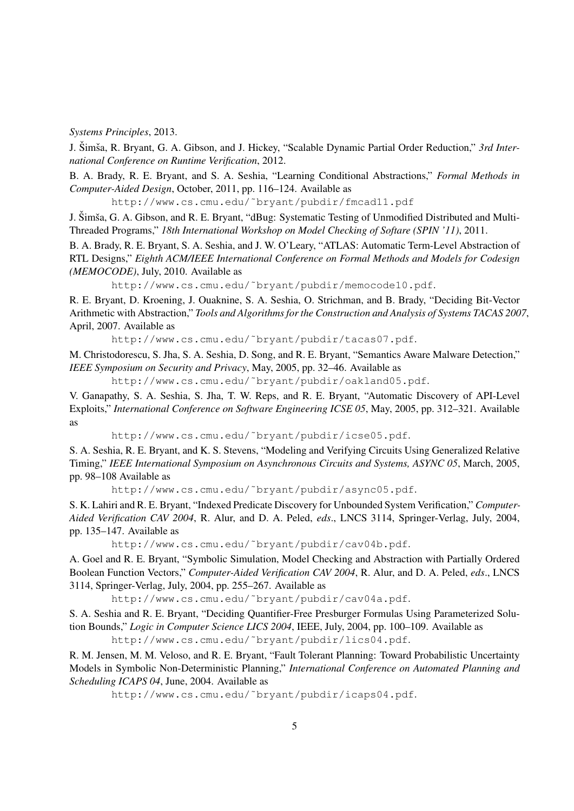*Systems Principles*, 2013.

J. Šimša, R. Bryant, G. A. Gibson, and J. Hickey, "Scalable Dynamic Partial Order Reduction," 3rd Inter*national Conference on Runtime Verification*, 2012.

B. A. Brady, R. E. Bryant, and S. A. Seshia, "Learning Conditional Abstractions," *Formal Methods in Computer-Aided Design*, October, 2011, pp. 116–124. Available as

http://www.cs.cmu.edu/˜bryant/pubdir/fmcad11.pdf

J. Šimša, G. A. Gibson, and R. E. Bryant, "dBug: Systematic Testing of Unmodified Distributed and Multi-Threaded Programs," *18th International Workshop on Model Checking of Softare (SPIN '11)*, 2011.

B. A. Brady, R. E. Bryant, S. A. Seshia, and J. W. O'Leary, "ATLAS: Automatic Term-Level Abstraction of RTL Designs," *Eighth ACM/IEEE International Conference on Formal Methods and Models for Codesign (MEMOCODE)*, July, 2010. Available as

http://www.cs.cmu.edu/˜bryant/pubdir/memocode10.pdf.

R. E. Bryant, D. Kroening, J. Ouaknine, S. A. Seshia, O. Strichman, and B. Brady, "Deciding Bit-Vector Arithmetic with Abstraction," *Tools and Algorithms for the Construction and Analysis of Systems TACAS 2007*, April, 2007. Available as

http://www.cs.cmu.edu/˜bryant/pubdir/tacas07.pdf.

M. Christodorescu, S. Jha, S. A. Seshia, D. Song, and R. E. Bryant, "Semantics Aware Malware Detection," *IEEE Symposium on Security and Privacy*, May, 2005, pp. 32–46. Available as

http://www.cs.cmu.edu/˜bryant/pubdir/oakland05.pdf.

V. Ganapathy, S. A. Seshia, S. Jha, T. W. Reps, and R. E. Bryant, "Automatic Discovery of API-Level Exploits," *International Conference on Software Engineering ICSE 05*, May, 2005, pp. 312–321. Available as

http://www.cs.cmu.edu/˜bryant/pubdir/icse05.pdf.

S. A. Seshia, R. E. Bryant, and K. S. Stevens, "Modeling and Verifying Circuits Using Generalized Relative Timing," *IEEE International Symposium on Asynchronous Circuits and Systems, ASYNC 05*, March, 2005, pp. 98–108 Available as

http://www.cs.cmu.edu/˜bryant/pubdir/async05.pdf.

S. K. Lahiri and R. E. Bryant, "Indexed Predicate Discovery for Unbounded System Verification," *Computer-Aided Verification CAV 2004*, R. Alur, and D. A. Peled, *eds*., LNCS 3114, Springer-Verlag, July, 2004, pp. 135–147. Available as

http://www.cs.cmu.edu/˜bryant/pubdir/cav04b.pdf.

A. Goel and R. E. Bryant, "Symbolic Simulation, Model Checking and Abstraction with Partially Ordered Boolean Function Vectors," *Computer-Aided Verification CAV 2004*, R. Alur, and D. A. Peled, *eds*., LNCS 3114, Springer-Verlag, July, 2004, pp. 255–267. Available as

http://www.cs.cmu.edu/˜bryant/pubdir/cav04a.pdf.

S. A. Seshia and R. E. Bryant, "Deciding Quantifier-Free Presburger Formulas Using Parameterized Solution Bounds," *Logic in Computer Science LICS 2004*, IEEE, July, 2004, pp. 100–109. Available as

http://www.cs.cmu.edu/˜bryant/pubdir/lics04.pdf.

R. M. Jensen, M. M. Veloso, and R. E. Bryant, "Fault Tolerant Planning: Toward Probabilistic Uncertainty Models in Symbolic Non-Deterministic Planning," *International Conference on Automated Planning and Scheduling ICAPS 04*, June, 2004. Available as

http://www.cs.cmu.edu/˜bryant/pubdir/icaps04.pdf.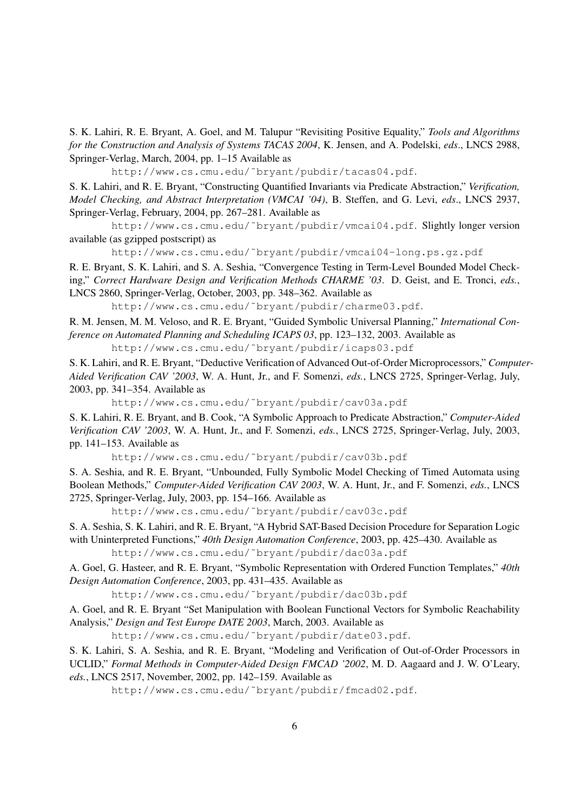S. K. Lahiri, R. E. Bryant, A. Goel, and M. Talupur "Revisiting Positive Equality," *Tools and Algorithms for the Construction and Analysis of Systems TACAS 2004*, K. Jensen, and A. Podelski, *eds*., LNCS 2988, Springer-Verlag, March, 2004, pp. 1–15 Available as

http://www.cs.cmu.edu/˜bryant/pubdir/tacas04.pdf.

S. K. Lahiri, and R. E. Bryant, "Constructing Quantified Invariants via Predicate Abstraction," *Verification, Model Checking, and Abstract Interpretation (VMCAI '04)*, B. Steffen, and G. Levi, *eds*., LNCS 2937, Springer-Verlag, February, 2004, pp. 267–281. Available as

http://www.cs.cmu.edu/˜bryant/pubdir/vmcai04.pdf. Slightly longer version available (as gzipped postscript) as

http://www.cs.cmu.edu/˜bryant/pubdir/vmcai04-long.ps.gz.pdf

R. E. Bryant, S. K. Lahiri, and S. A. Seshia, "Convergence Testing in Term-Level Bounded Model Checking," *Correct Hardware Design and Verification Methods CHARME '03*. D. Geist, and E. Tronci, *eds.*, LNCS 2860, Springer-Verlag, October, 2003, pp. 348–362. Available as

http://www.cs.cmu.edu/˜bryant/pubdir/charme03.pdf.

R. M. Jensen, M. M. Veloso, and R. E. Bryant, "Guided Symbolic Universal Planning," *International Conference on Automated Planning and Scheduling ICAPS 03*, pp. 123–132, 2003. Available as http://www.cs.cmu.edu/˜bryant/pubdir/icaps03.pdf

S. K. Lahiri, and R. E. Bryant, "Deductive Verification of Advanced Out-of-Order Microprocessors," *Computer-Aided Verification CAV '2003*, W. A. Hunt, Jr., and F. Somenzi, *eds.*, LNCS 2725, Springer-Verlag, July, 2003, pp. 341–354. Available as

http://www.cs.cmu.edu/˜bryant/pubdir/cav03a.pdf

S. K. Lahiri, R. E. Bryant, and B. Cook, "A Symbolic Approach to Predicate Abstraction," *Computer-Aided Verification CAV '2003*, W. A. Hunt, Jr., and F. Somenzi, *eds.*, LNCS 2725, Springer-Verlag, July, 2003, pp. 141–153. Available as

http://www.cs.cmu.edu/˜bryant/pubdir/cav03b.pdf

S. A. Seshia, and R. E. Bryant, "Unbounded, Fully Symbolic Model Checking of Timed Automata using Boolean Methods," *Computer-Aided Verification CAV 2003*, W. A. Hunt, Jr., and F. Somenzi, *eds.*, LNCS 2725, Springer-Verlag, July, 2003, pp. 154–166. Available as

http://www.cs.cmu.edu/˜bryant/pubdir/cav03c.pdf

S. A. Seshia, S. K. Lahiri, and R. E. Bryant, "A Hybrid SAT-Based Decision Procedure for Separation Logic with Uninterpreted Functions," *40th Design Automation Conference*, 2003, pp. 425–430. Available as http://www.cs.cmu.edu/˜bryant/pubdir/dac03a.pdf

A. Goel, G. Hasteer, and R. E. Bryant, "Symbolic Representation with Ordered Function Templates," *40th Design Automation Conference*, 2003, pp. 431–435. Available as

http://www.cs.cmu.edu/˜bryant/pubdir/dac03b.pdf

A. Goel, and R. E. Bryant "Set Manipulation with Boolean Functional Vectors for Symbolic Reachability Analysis," *Design and Test Europe DATE 2003*, March, 2003. Available as

http://www.cs.cmu.edu/˜bryant/pubdir/date03.pdf.

S. K. Lahiri, S. A. Seshia, and R. E. Bryant, "Modeling and Verification of Out-of-Order Processors in UCLID," *Formal Methods in Computer-Aided Design FMCAD '2002*, M. D. Aagaard and J. W. O'Leary, *eds.*, LNCS 2517, November, 2002, pp. 142–159. Available as

http://www.cs.cmu.edu/˜bryant/pubdir/fmcad02.pdf.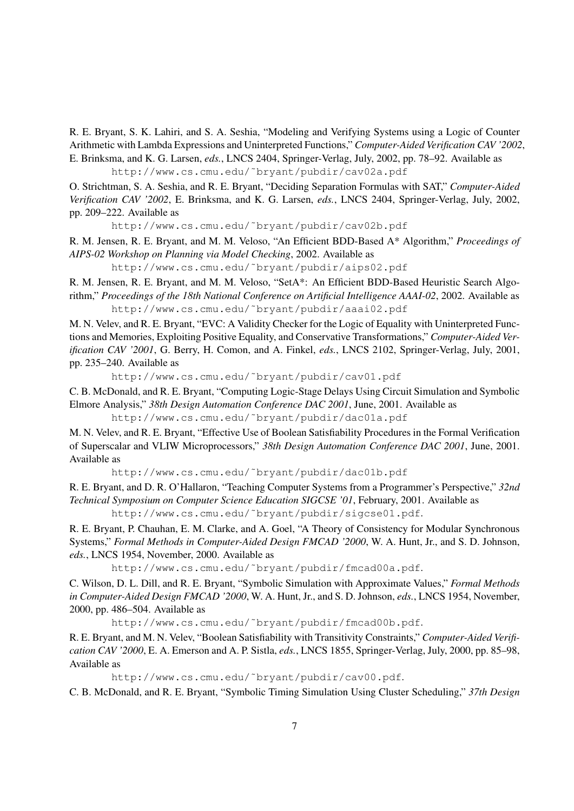R. E. Bryant, S. K. Lahiri, and S. A. Seshia, "Modeling and Verifying Systems using a Logic of Counter Arithmetic with Lambda Expressions and Uninterpreted Functions," *Computer-Aided Verification CAV '2002*, E. Brinksma, and K. G. Larsen, *eds.*, LNCS 2404, Springer-Verlag, July, 2002, pp. 78–92. Available as

http://www.cs.cmu.edu/˜bryant/pubdir/cav02a.pdf

O. Strichtman, S. A. Seshia, and R. E. Bryant, "Deciding Separation Formulas with SAT," *Computer-Aided Verification CAV '2002*, E. Brinksma, and K. G. Larsen, *eds.*, LNCS 2404, Springer-Verlag, July, 2002, pp. 209–222. Available as

http://www.cs.cmu.edu/˜bryant/pubdir/cav02b.pdf

R. M. Jensen, R. E. Bryant, and M. M. Veloso, "An Efficient BDD-Based A\* Algorithm," *Proceedings of AIPS-02 Workshop on Planning via Model Checking*, 2002. Available as

http://www.cs.cmu.edu/˜bryant/pubdir/aips02.pdf

R. M. Jensen, R. E. Bryant, and M. M. Veloso, "SetA\*: An Efficient BDD-Based Heuristic Search Algorithm," *Proceedings of the 18th National Conference on Artificial Intelligence AAAI-02*, 2002. Available as http://www.cs.cmu.edu/˜bryant/pubdir/aaai02.pdf

M. N. Velev, and R. E. Bryant, "EVC: A Validity Checker for the Logic of Equality with Uninterpreted Functions and Memories, Exploiting Positive Equality, and Conservative Transformations," *Computer-Aided Verification CAV '2001*, G. Berry, H. Comon, and A. Finkel, *eds.*, LNCS 2102, Springer-Verlag, July, 2001, pp. 235–240. Available as

http://www.cs.cmu.edu/˜bryant/pubdir/cav01.pdf

C. B. McDonald, and R. E. Bryant, "Computing Logic-Stage Delays Using Circuit Simulation and Symbolic Elmore Analysis," *38th Design Automation Conference DAC 2001*, June, 2001. Available as

http://www.cs.cmu.edu/˜bryant/pubdir/dac01a.pdf

M. N. Velev, and R. E. Bryant, "Effective Use of Boolean Satisfiability Procedures in the Formal Verification of Superscalar and VLIW Microprocessors," *38th Design Automation Conference DAC 2001*, June, 2001. Available as

http://www.cs.cmu.edu/˜bryant/pubdir/dac01b.pdf

R. E. Bryant, and D. R. O'Hallaron, "Teaching Computer Systems from a Programmer's Perspective," *32nd Technical Symposium on Computer Science Education SIGCSE '01*, February, 2001. Available as

http://www.cs.cmu.edu/˜bryant/pubdir/sigcse01.pdf.

R. E. Bryant, P. Chauhan, E. M. Clarke, and A. Goel, "A Theory of Consistency for Modular Synchronous Systems," *Formal Methods in Computer-Aided Design FMCAD '2000*, W. A. Hunt, Jr., and S. D. Johnson, *eds.*, LNCS 1954, November, 2000. Available as

http://www.cs.cmu.edu/˜bryant/pubdir/fmcad00a.pdf.

C. Wilson, D. L. Dill, and R. E. Bryant, "Symbolic Simulation with Approximate Values," *Formal Methods in Computer-Aided Design FMCAD '2000*, W. A. Hunt, Jr., and S. D. Johnson, *eds.*, LNCS 1954, November, 2000, pp. 486–504. Available as

http://www.cs.cmu.edu/˜bryant/pubdir/fmcad00b.pdf.

R. E. Bryant, and M. N. Velev, "Boolean Satisfiability with Transitivity Constraints," *Computer-Aided Verification CAV '2000*, E. A. Emerson and A. P. Sistla, *eds.*, LNCS 1855, Springer-Verlag, July, 2000, pp. 85–98, Available as

http://www.cs.cmu.edu/˜bryant/pubdir/cav00.pdf.

C. B. McDonald, and R. E. Bryant, "Symbolic Timing Simulation Using Cluster Scheduling," *37th Design*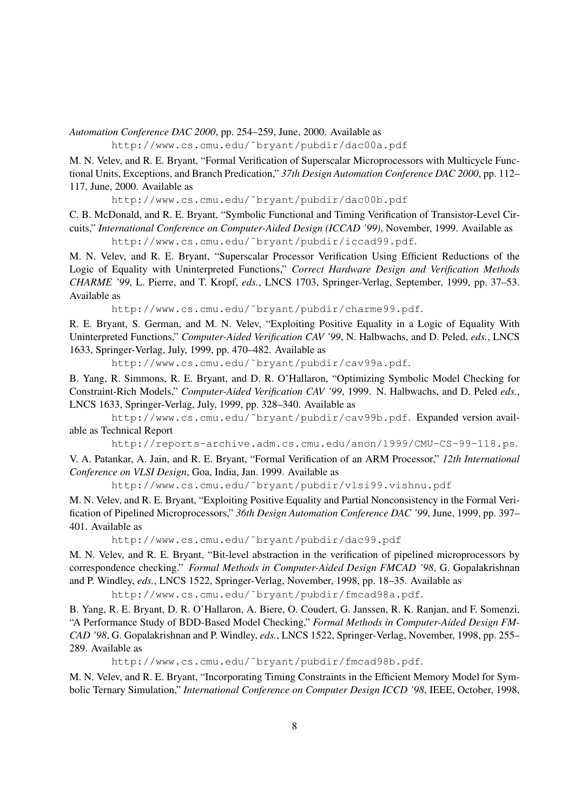*Automation Conference DAC 2000*, pp. 254–259, June, 2000. Available as

http://www.cs.cmu.edu/˜bryant/pubdir/dac00a.pdf

M. N. Velev, and R. E. Bryant, "Formal Verification of Superscalar Microprocessors with Multicycle Functional Units, Exceptions, and Branch Predication," *37th Design Automation Conference DAC 2000*, pp. 112– 117, June, 2000. Available as

http://www.cs.cmu.edu/˜bryant/pubdir/dac00b.pdf

C. B. McDonald, and R. E. Bryant, "Symbolic Functional and Timing Verification of Transistor-Level Circuits," *International Conference on Computer-Aided Design (ICCAD '99)*, November, 1999. Available as http://www.cs.cmu.edu/˜bryant/pubdir/iccad99.pdf.

M. N. Velev, and R. E. Bryant, "Superscalar Processor Verification Using Efficient Reductions of the Logic of Equality with Uninterpreted Functions," *Correct Hardware Design and Verification Methods CHARME '99*, L. Pierre, and T. Kropf, *eds.*, LNCS 1703, Springer-Verlag, September, 1999, pp. 37–53. Available as

http://www.cs.cmu.edu/˜bryant/pubdir/charme99.pdf.

R. E. Bryant, S. German, and M. N. Velev, "Exploiting Positive Equality in a Logic of Equality With Uninterpreted Functions," *Computer-Aided Verification CAV '99*, N. Halbwachs, and D. Peled, *eds.*, LNCS 1633, Springer-Verlag, July, 1999, pp. 470–482. Available as

http://www.cs.cmu.edu/˜bryant/pubdir/cav99a.pdf.

B. Yang, R. Simmons, R. E. Bryant, and D. R. O'Hallaron, "Optimizing Symbolic Model Checking for Constraint-Rich Models," *Computer-Aided Verification CAV '99*, 1999. N. Halbwachs, and D. Peled *eds.*, LNCS 1633, Springer-Verlag, July, 1999, pp. 328–340. Available as

http://www.cs.cmu.edu/˜bryant/pubdir/cav99b.pdf. Expanded version available as Technical Report

http://reports-archive.adm.cs.cmu.edu/anon/1999/CMU-CS-99-118.ps.

V. A. Patankar, A. Jain, and R. E. Bryant, "Formal Verification of an ARM Processor," *12th International Conference on VLSI Design*, Goa, India, Jan. 1999. Available as

http://www.cs.cmu.edu/˜bryant/pubdir/vlsi99.vishnu.pdf

M. N. Velev, and R. E. Bryant, "Exploiting Positive Equality and Partial Nonconsistency in the Formal Verification of Pipelined Microprocessors," *36th Design Automation Conference DAC '99*, June, 1999, pp. 397– 401. Available as

http://www.cs.cmu.edu/˜bryant/pubdir/dac99.pdf

M. N. Velev, and R. E. Bryant, "Bit-level abstraction in the verification of pipelined microprocessors by correspondence checking." *Formal Methods in Computer-Aided Design FMCAD '98*, G. Gopalakrishnan and P. Windley, *eds.*, LNCS 1522, Springer-Verlag, November, 1998, pp. 18–35. Available as

http://www.cs.cmu.edu/˜bryant/pubdir/fmcad98a.pdf.

B. Yang, R. E. Bryant, D. R. O'Hallaron, A. Biere, O. Coudert, G. Janssen, R. K. Ranjan, and F. Somenzi, "A Performance Study of BDD-Based Model Checking," *Formal Methods in Computer-Aided Design FM-CAD '98*, G. Gopalakrishnan and P. Windley, *eds.*, LNCS 1522, Springer-Verlag, November, 1998, pp. 255– 289. Available as

http://www.cs.cmu.edu/˜bryant/pubdir/fmcad98b.pdf.

M. N. Velev, and R. E. Bryant, "Incorporating Timing Constraints in the Efficient Memory Model for Symbolic Ternary Simulation," *International Conference on Computer Design ICCD '98*, IEEE, October, 1998,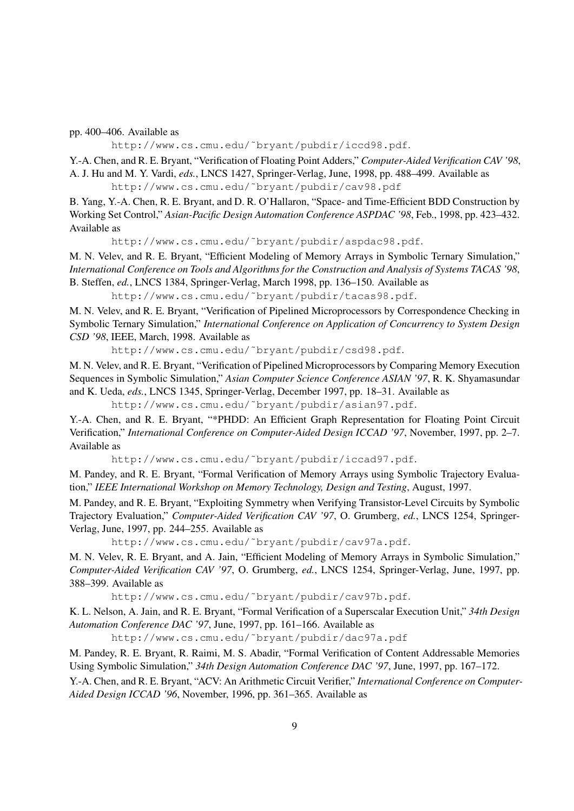pp. 400–406. Available as

http://www.cs.cmu.edu/˜bryant/pubdir/iccd98.pdf.

Y.-A. Chen, and R. E. Bryant, "Verification of Floating Point Adders," *Computer-Aided Verification CAV '98*, A. J. Hu and M. Y. Vardi, *eds.*, LNCS 1427, Springer-Verlag, June, 1998, pp. 488–499. Available as http://www.cs.cmu.edu/˜bryant/pubdir/cav98.pdf

B. Yang, Y.-A. Chen, R. E. Bryant, and D. R. O'Hallaron, "Space- and Time-Efficient BDD Construction by Working Set Control," *Asian-Pacific Design Automation Conference ASPDAC '98*, Feb., 1998, pp. 423–432. Available as

http://www.cs.cmu.edu/˜bryant/pubdir/aspdac98.pdf.

M. N. Velev, and R. E. Bryant, "Efficient Modeling of Memory Arrays in Symbolic Ternary Simulation," *International Conference on Tools and Algorithms for the Construction and Analysis of Systems TACAS '98*, B. Steffen, *ed.*, LNCS 1384, Springer-Verlag, March 1998, pp. 136–150. Available as

http://www.cs.cmu.edu/˜bryant/pubdir/tacas98.pdf.

M. N. Velev, and R. E. Bryant, "Verification of Pipelined Microprocessors by Correspondence Checking in Symbolic Ternary Simulation," *International Conference on Application of Concurrency to System Design CSD '98*, IEEE, March, 1998. Available as

http://www.cs.cmu.edu/˜bryant/pubdir/csd98.pdf.

M. N. Velev, and R. E. Bryant, "Verification of Pipelined Microprocessors by Comparing Memory Execution Sequences in Symbolic Simulation," *Asian Computer Science Conference ASIAN '97*, R. K. Shyamasundar and K. Ueda, *eds.*, LNCS 1345, Springer-Verlag, December 1997, pp. 18–31. Available as

http://www.cs.cmu.edu/˜bryant/pubdir/asian97.pdf.

Y.-A. Chen, and R. E. Bryant, "\*PHDD: An Efficient Graph Representation for Floating Point Circuit Verification," *International Conference on Computer-Aided Design ICCAD '97*, November, 1997, pp. 2–7. Available as

http://www.cs.cmu.edu/˜bryant/pubdir/iccad97.pdf.

M. Pandey, and R. E. Bryant, "Formal Verification of Memory Arrays using Symbolic Trajectory Evaluation," *IEEE International Workshop on Memory Technology, Design and Testing*, August, 1997.

M. Pandey, and R. E. Bryant, "Exploiting Symmetry when Verifying Transistor-Level Circuits by Symbolic Trajectory Evaluation," *Computer-Aided Verification CAV '97*, O. Grumberg, *ed.*, LNCS 1254, Springer-Verlag, June, 1997, pp. 244–255. Available as

http://www.cs.cmu.edu/˜bryant/pubdir/cav97a.pdf.

M. N. Velev, R. E. Bryant, and A. Jain, "Efficient Modeling of Memory Arrays in Symbolic Simulation," *Computer-Aided Verification CAV '97*, O. Grumberg, *ed.*, LNCS 1254, Springer-Verlag, June, 1997, pp. 388–399. Available as

http://www.cs.cmu.edu/˜bryant/pubdir/cav97b.pdf.

K. L. Nelson, A. Jain, and R. E. Bryant, "Formal Verification of a Superscalar Execution Unit," *34th Design Automation Conference DAC '97*, June, 1997, pp. 161–166. Available as

http://www.cs.cmu.edu/˜bryant/pubdir/dac97a.pdf

M. Pandey, R. E. Bryant, R. Raimi, M. S. Abadir, "Formal Verification of Content Addressable Memories Using Symbolic Simulation," *34th Design Automation Conference DAC '97*, June, 1997, pp. 167–172.

Y.-A. Chen, and R. E. Bryant, "ACV: An Arithmetic Circuit Verifier," *International Conference on Computer-Aided Design ICCAD '96*, November, 1996, pp. 361–365. Available as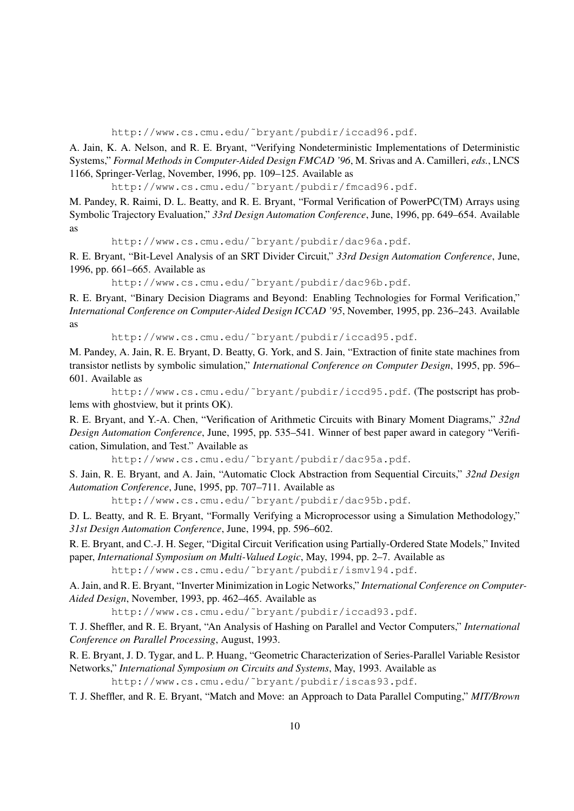http://www.cs.cmu.edu/˜bryant/pubdir/iccad96.pdf.

A. Jain, K. A. Nelson, and R. E. Bryant, "Verifying Nondeterministic Implementations of Deterministic Systems," *Formal Methods in Computer-Aided Design FMCAD '96*, M. Srivas and A. Camilleri, *eds.*, LNCS 1166, Springer-Verlag, November, 1996, pp. 109–125. Available as

http://www.cs.cmu.edu/˜bryant/pubdir/fmcad96.pdf.

M. Pandey, R. Raimi, D. L. Beatty, and R. E. Bryant, "Formal Verification of PowerPC(TM) Arrays using Symbolic Trajectory Evaluation," *33rd Design Automation Conference*, June, 1996, pp. 649–654. Available as

http://www.cs.cmu.edu/˜bryant/pubdir/dac96a.pdf.

R. E. Bryant, "Bit-Level Analysis of an SRT Divider Circuit," *33rd Design Automation Conference*, June, 1996, pp. 661–665. Available as

http://www.cs.cmu.edu/˜bryant/pubdir/dac96b.pdf.

R. E. Bryant, "Binary Decision Diagrams and Beyond: Enabling Technologies for Formal Verification," *International Conference on Computer-Aided Design ICCAD '95*, November, 1995, pp. 236–243. Available as

http://www.cs.cmu.edu/˜bryant/pubdir/iccad95.pdf.

M. Pandey, A. Jain, R. E. Bryant, D. Beatty, G. York, and S. Jain, "Extraction of finite state machines from transistor netlists by symbolic simulation," *International Conference on Computer Design*, 1995, pp. 596– 601. Available as

http://www.cs.cmu.edu/˜bryant/pubdir/iccd95.pdf. (The postscript has problems with ghostview, but it prints OK).

R. E. Bryant, and Y.-A. Chen, "Verification of Arithmetic Circuits with Binary Moment Diagrams," *32nd Design Automation Conference*, June, 1995, pp. 535–541. Winner of best paper award in category "Verification, Simulation, and Test." Available as

http://www.cs.cmu.edu/˜bryant/pubdir/dac95a.pdf.

S. Jain, R. E. Bryant, and A. Jain, "Automatic Clock Abstraction from Sequential Circuits," *32nd Design Automation Conference*, June, 1995, pp. 707–711. Available as

http://www.cs.cmu.edu/˜bryant/pubdir/dac95b.pdf.

D. L. Beatty, and R. E. Bryant, "Formally Verifying a Microprocessor using a Simulation Methodology," *31st Design Automation Conference*, June, 1994, pp. 596–602.

R. E. Bryant, and C.-J. H. Seger, "Digital Circuit Verification using Partially-Ordered State Models," Invited paper, *International Symposium on Multi-Valued Logic*, May, 1994, pp. 2–7. Available as

http://www.cs.cmu.edu/˜bryant/pubdir/ismvl94.pdf.

A. Jain, and R. E. Bryant, "Inverter Minimization in Logic Networks," *International Conference on Computer-Aided Design*, November, 1993, pp. 462–465. Available as

http://www.cs.cmu.edu/˜bryant/pubdir/iccad93.pdf.

T. J. Sheffler, and R. E. Bryant, "An Analysis of Hashing on Parallel and Vector Computers," *International Conference on Parallel Processing*, August, 1993.

R. E. Bryant, J. D. Tygar, and L. P. Huang, "Geometric Characterization of Series-Parallel Variable Resistor Networks," *International Symposium on Circuits and Systems*, May, 1993. Available as

http://www.cs.cmu.edu/˜bryant/pubdir/iscas93.pdf.

T. J. Sheffler, and R. E. Bryant, "Match and Move: an Approach to Data Parallel Computing," *MIT/Brown*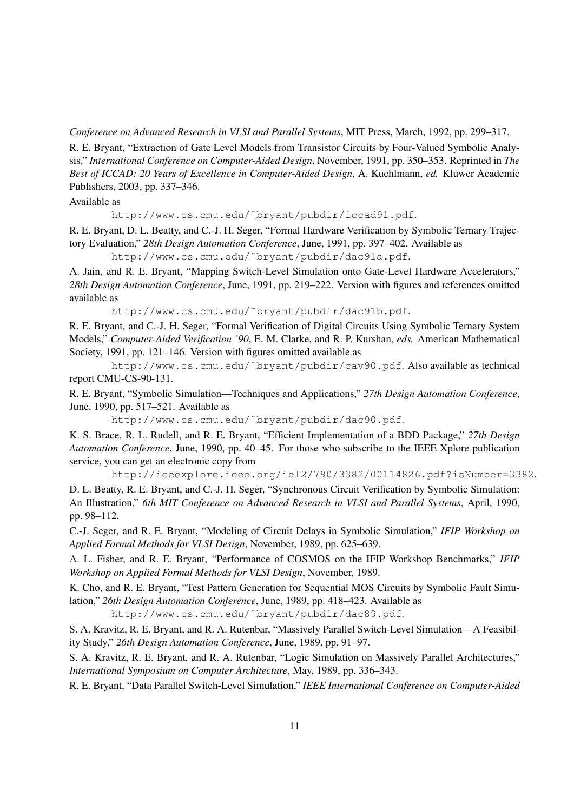*Conference on Advanced Research in VLSI and Parallel Systems*, MIT Press, March, 1992, pp. 299–317.

R. E. Bryant, "Extraction of Gate Level Models from Transistor Circuits by Four-Valued Symbolic Analysis," *International Conference on Computer-Aided Design*, November, 1991, pp. 350–353. Reprinted in *The Best of ICCAD: 20 Years of Excellence in Computer-Aided Design*, A. Kuehlmann, *ed.* Kluwer Academic Publishers, 2003, pp. 337–346.

## Available as

http://www.cs.cmu.edu/˜bryant/pubdir/iccad91.pdf.

R. E. Bryant, D. L. Beatty, and C.-J. H. Seger, "Formal Hardware Verification by Symbolic Ternary Trajectory Evaluation," *28th Design Automation Conference*, June, 1991, pp. 397–402. Available as

http://www.cs.cmu.edu/˜bryant/pubdir/dac91a.pdf.

A. Jain, and R. E. Bryant, "Mapping Switch-Level Simulation onto Gate-Level Hardware Accelerators," *28th Design Automation Conference*, June, 1991, pp. 219–222. Version with figures and references omitted available as

http://www.cs.cmu.edu/˜bryant/pubdir/dac91b.pdf.

R. E. Bryant, and C.-J. H. Seger, "Formal Verification of Digital Circuits Using Symbolic Ternary System Models," *Computer-Aided Verification '90*, E. M. Clarke, and R. P. Kurshan, *eds.* American Mathematical Society, 1991, pp. 121–146. Version with figures omitted available as

http://www.cs.cmu.edu/˜bryant/pubdir/cav90.pdf. Also available as technical report CMU-CS-90-131.

R. E. Bryant, "Symbolic Simulation—Techniques and Applications," *27th Design Automation Conference*, June, 1990, pp. 517–521. Available as

http://www.cs.cmu.edu/˜bryant/pubdir/dac90.pdf.

K. S. Brace, R. L. Rudell, and R. E. Bryant, "Efficient Implementation of a BDD Package," *27th Design Automation Conference*, June, 1990, pp. 40–45. For those who subscribe to the IEEE Xplore publication service, you can get an electronic copy from

http://ieeexplore.ieee.org/iel2/790/3382/00114826.pdf?isNumber=3382.

D. L. Beatty, R. E. Bryant, and C.-J. H. Seger, "Synchronous Circuit Verification by Symbolic Simulation: An Illustration," *6th MIT Conference on Advanced Research in VLSI and Parallel Systems*, April, 1990, pp. 98–112.

C.-J. Seger, and R. E. Bryant, "Modeling of Circuit Delays in Symbolic Simulation," *IFIP Workshop on Applied Formal Methods for VLSI Design*, November, 1989, pp. 625–639.

A. L. Fisher, and R. E. Bryant, "Performance of COSMOS on the IFIP Workshop Benchmarks," *IFIP Workshop on Applied Formal Methods for VLSI Design*, November, 1989.

K. Cho, and R. E. Bryant, "Test Pattern Generation for Sequential MOS Circuits by Symbolic Fault Simulation," *26th Design Automation Conference*, June, 1989, pp. 418–423. Available as

http://www.cs.cmu.edu/˜bryant/pubdir/dac89.pdf.

S. A. Kravitz, R. E. Bryant, and R. A. Rutenbar, "Massively Parallel Switch-Level Simulation—A Feasibility Study," *26th Design Automation Conference*, June, 1989, pp. 91–97.

S. A. Kravitz, R. E. Bryant, and R. A. Rutenbar, "Logic Simulation on Massively Parallel Architectures," *International Symposium on Computer Architecture*, May, 1989, pp. 336–343.

R. E. Bryant, "Data Parallel Switch-Level Simulation," *IEEE International Conference on Computer-Aided*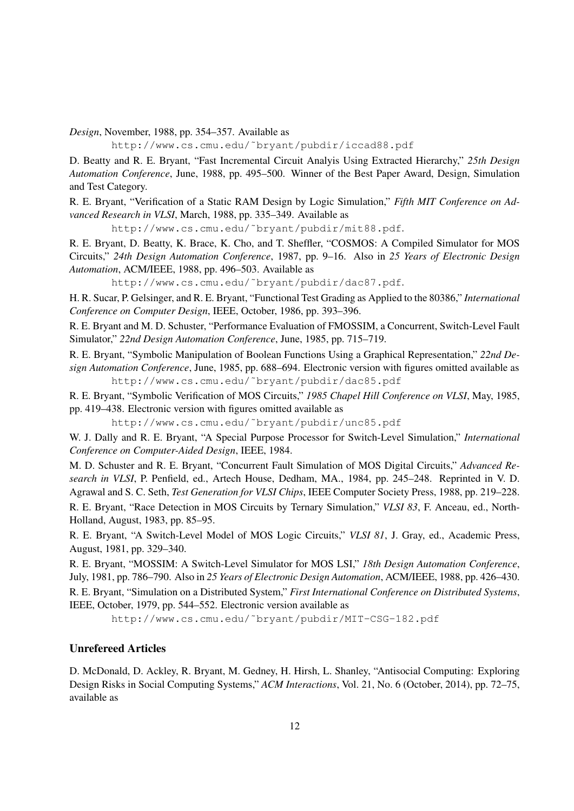*Design*, November, 1988, pp. 354–357. Available as

http://www.cs.cmu.edu/˜bryant/pubdir/iccad88.pdf

D. Beatty and R. E. Bryant, "Fast Incremental Circuit Analyis Using Extracted Hierarchy," *25th Design Automation Conference*, June, 1988, pp. 495–500. Winner of the Best Paper Award, Design, Simulation and Test Category.

R. E. Bryant, "Verification of a Static RAM Design by Logic Simulation," *Fifth MIT Conference on Advanced Research in VLSI*, March, 1988, pp. 335–349. Available as

http://www.cs.cmu.edu/˜bryant/pubdir/mit88.pdf.

R. E. Bryant, D. Beatty, K. Brace, K. Cho, and T. Sheffler, "COSMOS: A Compiled Simulator for MOS Circuits," *24th Design Automation Conference*, 1987, pp. 9–16. Also in *25 Years of Electronic Design Automation*, ACM/IEEE, 1988, pp. 496–503. Available as

http://www.cs.cmu.edu/˜bryant/pubdir/dac87.pdf.

H. R. Sucar, P. Gelsinger, and R. E. Bryant, "Functional Test Grading as Applied to the 80386," *International Conference on Computer Design*, IEEE, October, 1986, pp. 393–396.

R. E. Bryant and M. D. Schuster, "Performance Evaluation of FMOSSIM, a Concurrent, Switch-Level Fault Simulator," *22nd Design Automation Conference*, June, 1985, pp. 715–719.

R. E. Bryant, "Symbolic Manipulation of Boolean Functions Using a Graphical Representation," *22nd Design Automation Conference*, June, 1985, pp. 688–694. Electronic version with figures omitted available as http://www.cs.cmu.edu/˜bryant/pubdir/dac85.pdf

R. E. Bryant, "Symbolic Verification of MOS Circuits," *1985 Chapel Hill Conference on VLSI*, May, 1985, pp. 419–438. Electronic version with figures omitted available as

http://www.cs.cmu.edu/˜bryant/pubdir/unc85.pdf

W. J. Dally and R. E. Bryant, "A Special Purpose Processor for Switch-Level Simulation," *International Conference on Computer-Aided Design*, IEEE, 1984.

M. D. Schuster and R. E. Bryant, "Concurrent Fault Simulation of MOS Digital Circuits," *Advanced Research in VLSI*, P. Penfield, ed., Artech House, Dedham, MA., 1984, pp. 245–248. Reprinted in V. D. Agrawal and S. C. Seth, *Test Generation for VLSI Chips*, IEEE Computer Society Press, 1988, pp. 219–228. R. E. Bryant, "Race Detection in MOS Circuits by Ternary Simulation," *VLSI 83*, F. Anceau, ed., North-Holland, August, 1983, pp. 85–95.

R. E. Bryant, "A Switch-Level Model of MOS Logic Circuits," *VLSI 81*, J. Gray, ed., Academic Press, August, 1981, pp. 329–340.

R. E. Bryant, "MOSSIM: A Switch-Level Simulator for MOS LSI," *18th Design Automation Conference*, July, 1981, pp. 786–790. Also in *25 Years of Electronic Design Automation*, ACM/IEEE, 1988, pp. 426–430.

R. E. Bryant, "Simulation on a Distributed System," *First International Conference on Distributed Systems*, IEEE, October, 1979, pp. 544–552. Electronic version available as

http://www.cs.cmu.edu/˜bryant/pubdir/MIT-CSG-182.pdf

## Unrefereed Articles

D. McDonald, D. Ackley, R. Bryant, M. Gedney, H. Hirsh, L. Shanley, "Antisocial Computing: Exploring Design Risks in Social Computing Systems," *ACM Interactions*, Vol. 21, No. 6 (October, 2014), pp. 72–75, available as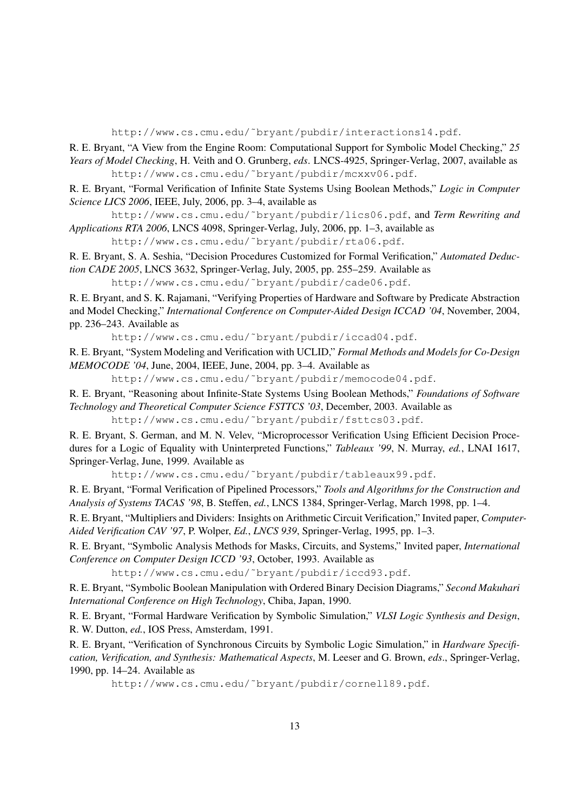http://www.cs.cmu.edu/˜bryant/pubdir/interactions14.pdf.

R. E. Bryant, "A View from the Engine Room: Computational Support for Symbolic Model Checking," *25 Years of Model Checking*, H. Veith and O. Grunberg, *eds*. LNCS-4925, Springer-Verlag, 2007, available as http://www.cs.cmu.edu/˜bryant/pubdir/mcxxv06.pdf.

R. E. Bryant, "Formal Verification of Infinite State Systems Using Boolean Methods," *Logic in Computer Science LICS 2006*, IEEE, July, 2006, pp. 3–4, available as

http://www.cs.cmu.edu/˜bryant/pubdir/lics06.pdf, and *Term Rewriting and Applications RTA 2006*, LNCS 4098, Springer-Verlag, July, 2006, pp. 1–3, available as

http://www.cs.cmu.edu/˜bryant/pubdir/rta06.pdf.

R. E. Bryant, S. A. Seshia, "Decision Procedures Customized for Formal Verification," *Automated Deduction CADE 2005*, LNCS 3632, Springer-Verlag, July, 2005, pp. 255–259. Available as

http://www.cs.cmu.edu/˜bryant/pubdir/cade06.pdf.

R. E. Bryant, and S. K. Rajamani, "Verifying Properties of Hardware and Software by Predicate Abstraction and Model Checking," *International Conference on Computer-Aided Design ICCAD '04*, November, 2004, pp. 236–243. Available as

http://www.cs.cmu.edu/˜bryant/pubdir/iccad04.pdf.

R. E. Bryant, "System Modeling and Verification with UCLID," *Formal Methods and Models for Co-Design MEMOCODE '04*, June, 2004, IEEE, June, 2004, pp. 3–4. Available as

http://www.cs.cmu.edu/˜bryant/pubdir/memocode04.pdf.

R. E. Bryant, "Reasoning about Infinite-State Systems Using Boolean Methods," *Foundations of Software Technology and Theoretical Computer Science FSTTCS '03*, December, 2003. Available as

http://www.cs.cmu.edu/˜bryant/pubdir/fsttcs03.pdf.

R. E. Bryant, S. German, and M. N. Velev, "Microprocessor Verification Using Efficient Decision Procedures for a Logic of Equality with Uninterpreted Functions," *Tableaux '99*, N. Murray, *ed.*, LNAI 1617, Springer-Verlag, June, 1999. Available as

http://www.cs.cmu.edu/˜bryant/pubdir/tableaux99.pdf.

R. E. Bryant, "Formal Verification of Pipelined Processors," *Tools and Algorithms for the Construction and Analysis of Systems TACAS '98*, B. Steffen, *ed.*, LNCS 1384, Springer-Verlag, March 1998, pp. 1–4.

R. E. Bryant, "Multipliers and Dividers: Insights on Arithmetic Circuit Verification," Invited paper, *Computer-Aided Verification CAV '97*, P. Wolper, *Ed.*, *LNCS 939*, Springer-Verlag, 1995, pp. 1–3.

R. E. Bryant, "Symbolic Analysis Methods for Masks, Circuits, and Systems," Invited paper, *International Conference on Computer Design ICCD '93*, October, 1993. Available as

http://www.cs.cmu.edu/˜bryant/pubdir/iccd93.pdf.

R. E. Bryant, "Symbolic Boolean Manipulation with Ordered Binary Decision Diagrams," *Second Makuhari International Conference on High Technology*, Chiba, Japan, 1990.

R. E. Bryant, "Formal Hardware Verification by Symbolic Simulation," *VLSI Logic Synthesis and Design*, R. W. Dutton, *ed.*, IOS Press, Amsterdam, 1991.

R. E. Bryant, "Verification of Synchronous Circuits by Symbolic Logic Simulation," in *Hardware Specification, Verification, and Synthesis: Mathematical Aspects*, M. Leeser and G. Brown, *eds*., Springer-Verlag, 1990, pp. 14–24. Available as

http://www.cs.cmu.edu/˜bryant/pubdir/cornell89.pdf.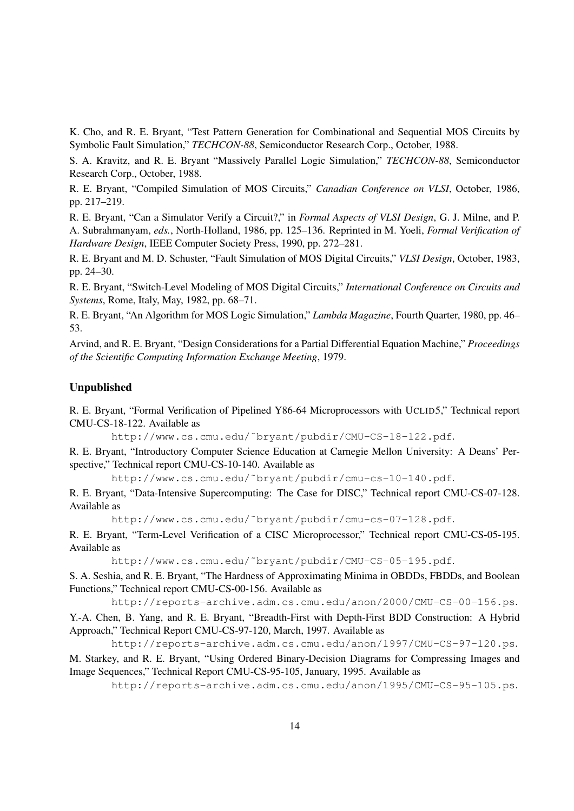K. Cho, and R. E. Bryant, "Test Pattern Generation for Combinational and Sequential MOS Circuits by Symbolic Fault Simulation," *TECHCON-88*, Semiconductor Research Corp., October, 1988.

S. A. Kravitz, and R. E. Bryant "Massively Parallel Logic Simulation," *TECHCON-88*, Semiconductor Research Corp., October, 1988.

R. E. Bryant, "Compiled Simulation of MOS Circuits," *Canadian Conference on VLSI*, October, 1986, pp. 217–219.

R. E. Bryant, "Can a Simulator Verify a Circuit?," in *Formal Aspects of VLSI Design*, G. J. Milne, and P. A. Subrahmanyam, *eds.*, North-Holland, 1986, pp. 125–136. Reprinted in M. Yoeli, *Formal Verification of Hardware Design*, IEEE Computer Society Press, 1990, pp. 272–281.

R. E. Bryant and M. D. Schuster, "Fault Simulation of MOS Digital Circuits," *VLSI Design*, October, 1983, pp. 24–30.

R. E. Bryant, "Switch-Level Modeling of MOS Digital Circuits," *International Conference on Circuits and Systems*, Rome, Italy, May, 1982, pp. 68–71.

R. E. Bryant, "An Algorithm for MOS Logic Simulation," *Lambda Magazine*, Fourth Quarter, 1980, pp. 46– 53.

Arvind, and R. E. Bryant, "Design Considerations for a Partial Differential Equation Machine," *Proceedings of the Scientific Computing Information Exchange Meeting*, 1979.

#### Unpublished

R. E. Bryant, "Formal Verification of Pipelined Y86-64 Microprocessors with UCLID5," Technical report CMU-CS-18-122. Available as

http://www.cs.cmu.edu/˜bryant/pubdir/CMU-CS-18-122.pdf.

R. E. Bryant, "Introductory Computer Science Education at Carnegie Mellon University: A Deans' Perspective," Technical report CMU-CS-10-140. Available as

http://www.cs.cmu.edu/˜bryant/pubdir/cmu-cs-10-140.pdf.

R. E. Bryant, "Data-Intensive Supercomputing: The Case for DISC," Technical report CMU-CS-07-128. Available as

http://www.cs.cmu.edu/˜bryant/pubdir/cmu-cs-07-128.pdf.

R. E. Bryant, "Term-Level Verification of a CISC Microprocessor," Technical report CMU-CS-05-195. Available as

http://www.cs.cmu.edu/˜bryant/pubdir/CMU-CS-05-195.pdf.

S. A. Seshia, and R. E. Bryant, "The Hardness of Approximating Minima in OBDDs, FBDDs, and Boolean Functions," Technical report CMU-CS-00-156. Available as

http://reports-archive.adm.cs.cmu.edu/anon/2000/CMU-CS-00-156.ps.

Y.-A. Chen, B. Yang, and R. E. Bryant, "Breadth-First with Depth-First BDD Construction: A Hybrid Approach," Technical Report CMU-CS-97-120, March, 1997. Available as

http://reports-archive.adm.cs.cmu.edu/anon/1997/CMU-CS-97-120.ps.

M. Starkey, and R. E. Bryant, "Using Ordered Binary-Decision Diagrams for Compressing Images and Image Sequences," Technical Report CMU-CS-95-105, January, 1995. Available as

http://reports-archive.adm.cs.cmu.edu/anon/1995/CMU-CS-95-105.ps.